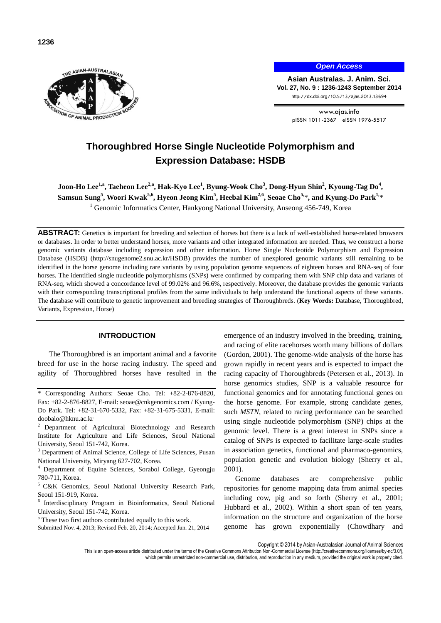

*Open Access*

**Asian Australas. J. Anim. Sci. Vol. 27, No. 9 : 1236-1243 September 2014** http://dx.doi.org/10.5713/ajas.2013.13694

> www.ajas.info pISSN 1011-2367 eISSN 1976-5517

# **Thoroughbred Horse Single Nucleotide Polymorphism and Expression Database: HSDB**

 $\rm{Joon-Ho}\, \rm{Lee}^{1, a}, \rm{Taeheon}\, \rm{Lee}^{2, a}, \rm{Hak-Kyo}\, \rm{Lee}^1, \rm{Byung-Wook}\, \rm{Cho^3}, \rm{Dong-Hyun}\, \rm{Shin}^2, \rm{Kyoung-Tag}\, \rm{Do^4},$ **Samsun Sung<sup>5</sup> , Woori Kwak5,6, Hyeon Jeong Kim<sup>5</sup> , Heebal Kim2,6, Seoae Cho5,**\***, and Kyung-Do Park1,**\* <sup>1</sup> Genomic Informatics Center, Hankyong National University, Anseong 456-749, Korea

**ABSTRACT:** Genetics is important for breeding and selection of horses but there is a lack of well-established horse-related browsers or databases. In order to better understand horses, more variants and other integrated information are needed. Thus, we construct a horse genomic variants database including expression and other information. Horse Single Nucleotide Polymorphism and Expression Database (HSDB) [\(http://snugenome2.snu.ac.kr/](http://snugenome2.snu.ac.kr/)HSDB) provides the number of unexplored genomic variants still remaining to be identified in the horse genome including rare variants by using population genome sequences of eighteen horses and RNA-seq of four horses. The identified single nucleotide polymorphisms (SNPs) were confirmed by comparing them with SNP chip data and variants of RNA-seq, which showed a concordance level of 99.02% and 96.6%, respectively. Moreover, the database provides the genomic variants with their corresponding transcriptional profiles from the same individuals to help understand the functional aspects of these variants. The database will contribute to genetic improvement and breeding strategies of Thoroughbreds. (**Key Words:** Database, Thoroughbred, Variants, Expression, Horse)

# **INTRODUCTION**

The Thoroughbred is an important animal and a favorite breed for use in the horse racing industry. The speed and agility of Thoroughbred horses have resulted in the

- <sup>2</sup> Department of Agricultural Biotechnology and Research Institute for Agriculture and Life Sciences, Seoul National University, Seoul 151-742, Korea.
- <sup>3</sup> Department of Animal Science, College of Life Sciences, Pusan National University, Miryang 627-702, Korea.

Department of Equine Sciences, Sorabol College, Gyeongju 780-711, Korea.

- <sup>5</sup>C&K Genomics, Seoul National University Research Park, Seoul 151-919, Korea.
- 6 Interdisciplinary Program in Bioinformatics, Seoul National University, Seoul 151-742, Korea.

<sup>a</sup> These two first authors contributed equally to this work.

Submitted Nov. 4, 2013; Revised Feb. 20, 2014; Accepted Jun. 21, 2014

emergence of an industry involved in the breeding, training, and racing of elite racehorses worth many billions of dollars (Gordon, 2001). The genome-wide analysis of the horse has grown rapidly in recent years and is expected to impact the racing capacity of Thoroughbreds (Petersen et al., 2013). In horse genomics studies, SNP is a valuable resource for functional genomics and for annotating functional genes on the horse genome. For example, strong candidate genes, such *MSTN*, related to racing performance can be searched using single nucleotide polymorphism (SNP) chips at the genomic level. There is a great interest in SNPs since a catalog of SNPs is expected to facilitate large-scale studies in association genetics, functional and pharmaco-genomics, population genetic and evolution biology (Sherry et al., 2001).

Genome databases are comprehensive public repositories for genome mapping data from animal species including cow, pig and so forth (Sherry et al., 2001; Hubbard et al., 2002). Within a short span of ten years, information on the structure and organization of the horse genome has grown exponentially (Chowdhary and

Copyright © 2014 by Asian-Australasian Journal of Animal Sciences

<sup>\*</sup> Corresponding Authors: Seoae Cho. Tel: +82-2-876-8820, Fax: +82-2-876-8827, E-mail: [seoae@cnkgenomics.com](mailto:seoae@cnkgenomics.com) / Kyung-Do Park. Tel: +82-31-670-5332, Fax: +82-31-675-5331, E-mail: [doobalo@hknu.ac.kr](mailto:doobalo@hknu.ac.kr)

This is an open-access article distributed under the terms of the Creative Commons Attribution Non-Commercial License [\(http://creativecommons.org/licenses/by-nc/3.0/\),](http://creativecommons.org/licenses/by-nc/3.0/) which permits unrestricted non-commercial use, distribution, and reproduction in any medium, provided the original work is properly cited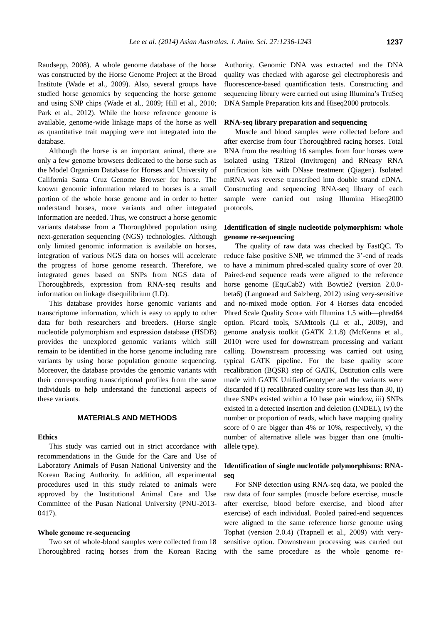Raudsepp, 2008). A whole genome database of the horse was constructed by the Horse Genome Project at the Broad Institute (Wade et al., 2009). Also, several groups have studied horse genomics by sequencing the horse genome and using SNP chips (Wade et al., 2009; Hill et al., 2010; Park et al., 2012). While the horse reference genome is available, genome-wide linkage maps of the horse as well as quantitative trait mapping were not integrated into the database.

Although the horse is an important animal, there are only a few genome browsers dedicated to the horse such as the Model Organism Database for Horses and University of California Santa Cruz Genome Browser for horse. The known genomic information related to horses is a small portion of the whole horse genome and in order to better understand horses, more variants and other integrated information are needed. Thus, we construct a horse genomic variants database from a Thoroughbred population using next-generation sequencing (NGS) technologies. Although only limited genomic information is available on horses, integration of various NGS data on horses will accelerate the progress of horse genome research. Therefore, we integrated genes based on SNPs from NGS data of Thoroughbreds, expression from RNA-seq results and information on linkage disequilibrium (LD).

This database provides horse genomic variants and transcriptome information, which is easy to apply to other data for both researchers and breeders. (Horse single nucleotide polymorphism and expression database (HSDB) provides the unexplored genomic variants which still remain to be identified in the horse genome including rare variants by using horse population genome sequencing. Moreover, the database provides the genomic variants with their corresponding transcriptional profiles from the same individuals to help understand the functional aspects of these variants.

# **MATERIALS AND METHODS**

### **Ethics**

This study was carried out in strict accordance with recommendations in the Guide for the Care and Use of Laboratory Animals of Pusan National University and the Korean Racing Authority. In addition, all experimental procedures used in this study related to animals were approved by the Institutional Animal Care and Use Committee of the Pusan National University (PNU-2013- 0417).

## **Whole genome re-sequencing**

Two set of whole-blood samples were collected from 18 Thoroughbred racing horses from the Korean Racing Authority. Genomic DNA was extracted and the DNA quality was checked with agarose gel electrophoresis and fluorescence-based quantification tests. Constructing and sequencing library were carried out using Illumina's TruSeq DNA Sample Preparation kits and Hiseq2000 protocols.

#### **RNA-seq library preparation and sequencing**

Muscle and blood samples were collected before and after exercise from four Thoroughbred racing horses. Total RNA from the resulting 16 samples from four horses were isolated using TRIzol (Invitrogen) and RNeasy RNA purification kits with DNase treatment (Qiagen). Isolated mRNA was reverse transcribed into double strand cDNA. Constructing and sequencing RNA-seq library of each sample were carried out using Illumina Hiseq2000 protocols.

## **Identification of single nucleotide polymorphism: whole genome re-sequencing**

The quality of raw data was checked by FastQC. To reduce false positive SNP, we trimmed the 3'-end of reads to have a minimum phred-scaled quality score of over 20. Paired-end sequence reads were aligned to the reference horse genome (EquCab2) with Bowtie2 (version 2.0.0 beta6) (Langmead and Salzberg, 2012) using very-sensitive and no-mixed mode option. For 4 Horses data encoded Phred Scale Quality Score with Illumina 1.5 with—phred64 option. Picard tools, SAMtools (Li et al., 2009), and genome analysis toolkit (GATK 2.1.8) (McKenna et al., 2010) were used for downstream processing and variant calling. Downstream processing was carried out using typical GATK pipeline. For the base quality score recalibration (BQSR) step of GATK, Dstitution calls were made with GATK UnifiedGenotyper and the variants were discarded if i) recalibrated quality score was less than 30, ii) three SNPs existed within a 10 base pair window, iii) SNPs existed in a detected insertion and deletion (INDEL), iv) the number or proportion of reads, which have mapping quality score of 0 are bigger than 4% or 10%, respectively, v) the number of alternative allele was bigger than one (multiallele type).

# **Identification of single nucleotide polymorphisms: RNAseq**

For SNP detection using RNA-seq data, we pooled the raw data of four samples (muscle before exercise, muscle after exercise, blood before exercise, and blood after exercise) of each individual. Pooled paired-end sequences were aligned to the same reference horse genome using Tophat (version 2.0.4) (Trapnell et al., 2009) with verysensitive option. Downstream processing was carried out with the same procedure as the whole genome re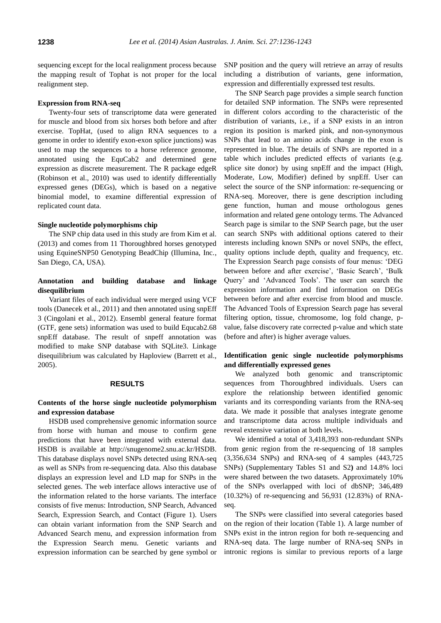sequencing except for the local realignment process because the mapping result of Tophat is not proper for the local realignment step.

#### **Expression from RNA-seq**

Twenty-four sets of transcriptome data were generated for muscle and blood from six horses both before and after exercise. TopHat, (used to align RNA sequences to a genome in order to identify exon-exon splice junctions) was used to map the sequences to a horse reference genome, annotated using the EquCab2 and determined gene expression as discrete measurement. The R package edgeR (Robinson et al., 2010) was used to identify differentially expressed genes (DEGs), which is based on a negative binomial model, to examine differential expression of replicated count data.

## **Single nucleotide polymorphisms chip**

The SNP chip data used in this study are from Kim et al. (2013) and comes from 11 Thoroughbred horses genotyped using EquineSNP50 Genotyping BeadChip (Illumina, Inc., San Diego, CA, USA).

## **Annotation and building database and linkage disequilibrium**

Variant files of each individual were merged using VCF tools (Danecek et al., 2011) and then annotated using snpEff 3 (Cingolani et al., 2012). Ensembl general feature format (GTF, gene sets) information was used to build Equcab2.68 snpEff database. The result of snpeff annotation was modified to make SNP database with SQLite3. Linkage disequilibrium was calculated by Haploview (Barrett et al., 2005).

#### **RESULTS**

## **Contents of the horse single nucleotide polymorphism and expression database**

HSDB used comprehensive genomic information source from horse with human and mouse to confirm gene predictions that have been integrated with external data. HSDB is available at<http://snugenome2.snu.ac.kr/>HSDB. This database displays novel SNPs detected using RNA-seq as well as SNPs from re-sequencing data. Also this database displays an expression level and LD map for SNPs in the selected genes. The web interface allows interactive use of the information related to the horse variants. The interface consists of five menus: Introduction, SNP Search, Advanced Search, Expression Search, and Contact (Figure 1). Users can obtain variant information from the SNP Search and Advanced Search menu, and expression information from the Expression Search menu. Genetic variants and expression information can be searched by gene symbol or

SNP position and the query will retrieve an array of results including a distribution of variants, gene information, expression and differentially expressed test results.

The SNP Search page provides a simple search function for detailed SNP information. The SNPs were represented in different colors according to the characteristic of the distribution of variants, i.e., if a SNP exists in an intron region its position is marked pink, and non-synonymous SNPs that lead to an amino acids change in the exon is represented in blue. The details of SNPs are reported in a table which includes predicted effects of variants (e.g. splice site donor) by using snpEff and the impact (High, Moderate, Low, Modifier) defined by snpEff. User can select the source of the SNP information: re-sequencing or RNA-seq. Moreover, there is gene description including gene function, human and mouse orthologous genes information and related gene ontology terms. The Advanced Search page is similar to the SNP Search page, but the user can search SNPs with additional options catered to their interests including known SNPs or novel SNPs, the effect, quality options include depth, quality and frequency, etc. The Expression Search page consists of four menus: 'DEG between before and after exercise', 'Basic Search', 'Bulk Query' and 'Advanced Tools'. The user can search the expression information and find information on DEGs between before and after exercise from blood and muscle. The Advanced Tools of Expression Search page has several filtering option, tissue, chromosome, log fold change, pvalue, false discovery rate corrected p-value and which state (before and after) is higher average values.

# **Identification genic single nucleotide polymorphisms and differentially expressed genes**

We analyzed both genomic and transcriptomic sequences from Thoroughbred individuals. Users can explore the relationship between identified genomic variants and its corresponding variants from the RNA-seq data. We made it possible that analyses integrate genome and transcriptome data across multiple individuals and reveal extensive variation at both levels.

We identified a total of 3,418,393 non-redundant SNPs from genic region from the re-sequencing of 18 samples (3,356,634 SNPs) and RNA-seq of 4 samples (443,725 SNPs) (Supplementary Tables S1 and S2**)** and 14.8% loci were shared between the two datasets. Approximately 10% of the SNPs overlapped with loci of dbSNP; 346,489 (10.32%) of re-sequencing and 56,931 (12.83%) of RNAseq.

The SNPs were classified into several categories based on the region of their location (Table 1). A large number of SNPs exist in the intron region for both re-sequencing and RNA-seq data. The large number of RNA-seq SNPs in intronic regions is similar to previous reports of a large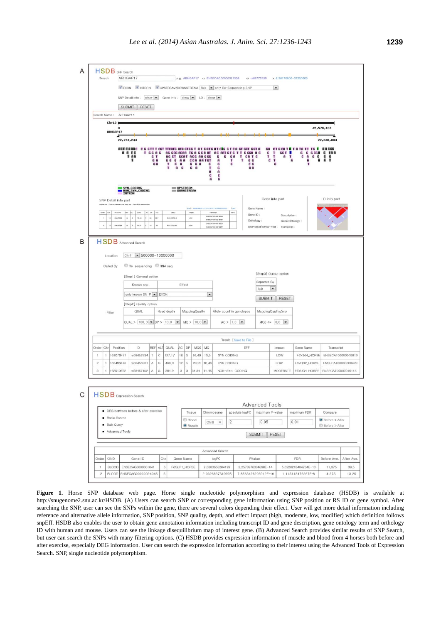

**Figure 1.** Horse SNP database web page. Horse single nucleotide polymorphism and expression database (HSDB) is available at http://snugenome2.snu.ac.kr/HSDB. (A) Users can search SNP or corresponding gene information using SNP position or RS ID or gene symbol. After searching the SNP, user can see the SNPs within the gene, there are several colors depending their effect. User will get more detail information including reference and alternative allele information, SNP position, SNP quality, depth, and effect impact (high, moderate, low, modifier) which definition follows snpEff. HSDB also enables the user to obtain gene annotation information including transcript ID and gene description, gene ontology term and orthology ID with human and mouse. Users can see the linkage disequilibrium map of interest gene. (B) Advanced Search provides similar results of SNP Search, but user can search the SNPs with many filtering options. (C) HSDB provides expression information of muscle and blood from 4 horses both before and after exercise, especially DEG information. User can search the expression information according to their interest using the Advanced Tools of Expression Search. SNP, single nucleotide polymorphism.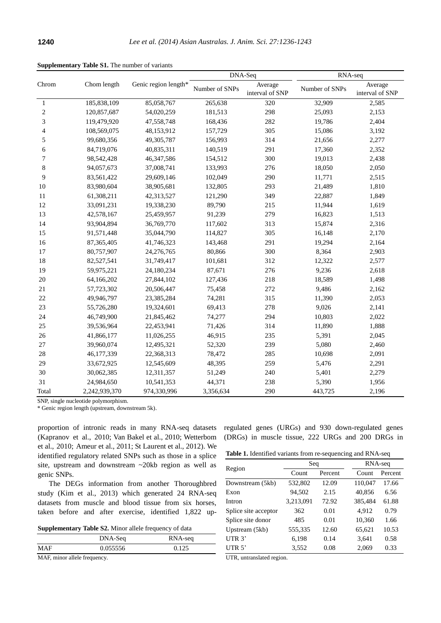| Chrom        | Chom length   | Genic region length* | DNA-Seq        |                            | RNA-seq        |                            |
|--------------|---------------|----------------------|----------------|----------------------------|----------------|----------------------------|
|              |               |                      | Number of SNPs | Average<br>interval of SNP | Number of SNPs | Average<br>interval of SNP |
| $\mathbf{1}$ | 185,838,109   | 85,058,767           | 265,638        | 320                        | 32,909         | 2,585                      |
| $\sqrt{2}$   | 120,857,687   | 54,020,259           | 181,513        | 298                        | 25,093         | 2,153                      |
| 3            | 119,479,920   | 47,558,748           | 168,436        | 282                        | 19,786         | 2,404                      |
| 4            | 108,569,075   | 48,153,912           | 157,729        | 305                        | 15,086         | 3,192                      |
| 5            | 99,680,356    | 49,305,787           | 156,993        | 314                        | 21,656         | 2,277                      |
| 6            | 84,719,076    | 40,835,311           | 140,519        | 291                        | 17,360         | 2,352                      |
| 7            | 98,542,428    | 46,347,586           | 154,512        | 300                        | 19,013         | 2,438                      |
| $\,$ 8 $\,$  | 94,057,673    | 37,008,741           | 133,993        | 276                        | 18,050         | 2,050                      |
| 9            | 83,561,422    | 29,609,146           | 102,049        | 290                        | 11,771         | 2,515                      |
| 10           | 83,980,604    | 38,905,681           | 132,805        | 293                        | 21,489         | 1,810                      |
| 11           | 61,308,211    | 42,313,527           | 121,290        | 349                        | 22,887         | 1,849                      |
| 12           | 33,091,231    | 19,338,230           | 89,790         | 215                        | 11,944         | 1,619                      |
| 13           | 42,578,167    | 25,459,957           | 91,239         | 279                        | 16,823         | 1,513                      |
| 14           | 93,904,894    | 36,769,770           | 117,602        | 313                        | 15,874         | 2,316                      |
| 15           | 91,571,448    | 35,044,790           | 114,827        | 305                        | 16,148         | 2,170                      |
| 16           | 87,365,405    | 41,746,323           | 143,468        | 291                        | 19,294         | 2,164                      |
| 17           | 80,757,907    | 24,276,765           | 80,866         | 300                        | 8,364          | 2,903                      |
| 18           | 82,527,541    | 31,749,417           | 101,681        | 312                        | 12,322         | 2,577                      |
| 19           | 59,975,221    | 24,180,234           | 87,671         | 276                        | 9,236          | 2,618                      |
| $20\,$       | 64,166,202    | 27,844,102           | 127,436        | 218                        | 18,589         | 1,498                      |
| 21           | 57,723,302    | 20,506,447           | 75,458         | 272                        | 9,486          | 2,162                      |
| 22           | 49,946,797    | 23,385,284           | 74,281         | 315                        | 11,390         | 2,053                      |
| 23           | 55,726,280    | 19,324,601           | 69,413         | 278                        | 9,026          | 2,141                      |
| 24           | 46,749,900    | 21,845,462           | 74,277         | 294                        | 10,803         | 2,022                      |
| 25           | 39,536,964    | 22,453,941           | 71,426         | 314                        | 11,890         | 1,888                      |
| 26           | 41,866,177    | 11,026,255           | 46,915         | 235                        | 5,391          | 2,045                      |
| 27           | 39,960,074    | 12,495,321           | 52,320         | 239                        | 5,080          | 2,460                      |
| 28           | 46,177,339    | 22,368,313           | 78,472         | 285                        | 10,698         | 2,091                      |
| 29           | 33,672,925    | 12,545,609           | 48,395         | 259                        | 5,476          | 2,291                      |
| 30           | 30,062,385    | 12,311,357           | 51,249         | 240                        | 5,401          | 2,279                      |
| 31           | 24,984,650    | 10,541,353           | 44,371         | 238                        | 5,390          | 1,956                      |
| Total        | 2,242,939,370 | 974,330,996          | 3,356,634      | 290                        | 443,725        | 2,196                      |

**Supplementary Table S1.** The number of variants

SNP, single nucleotide polymorphism.

\* Genic region length (upstream, downstream 5k).

proportion of intronic reads in many RNA-seq datasets (Kapranov et al., 2010; Van Bakel et al., 2010; Wetterbom et al., 2010; Ameur et al., 2011; St Laurent et al., 2012). We identified regulatory related SNPs such as those in a splice site, upstream and downstream ~20kb region as well as genic SNPs.

The DEGs information from another Thoroughbred study (Kim et al., 2013) which generated 24 RNA-seq datasets from muscle and blood tissue from six horses, taken before and after exercise, identified 1,822 up-

**Supplementary Table S2.** Minor allele frequency of data

|            | $\mu$    |         |  |  |  |
|------------|----------|---------|--|--|--|
|            | DNA-Seq  | RNA-seq |  |  |  |
| <b>MAF</b> | 0.055556 | 0.125   |  |  |  |
|            |          |         |  |  |  |

MAF, minor allele frequency.

regulated genes (URGs) and 930 down-regulated genes (DRGs) in muscle tissue, 222 URGs and 200 DRGs in

**Table 1.** Identified variants from re-sequencing and RNA-seq

|                      | Seq       |         |  | RNA-seq |         |  |
|----------------------|-----------|---------|--|---------|---------|--|
| Region               | Count     | Percent |  | Count   | Percent |  |
| Downstream (5kb)     | 532,802   | 12.09   |  | 110,047 | 17.66   |  |
| Exon                 | 94,502    | 2.15    |  | 40,856  | 6.56    |  |
| Intron               | 3,213,091 | 72.92   |  | 385,484 | 61.88   |  |
| Splice site acceptor | 362       | 0.01    |  | 4.912   | 0.79    |  |
| Splice site donor    | 485       | 0.01    |  | 10,360  | 1.66    |  |
| Upstream (5kb)       | 555,335   | 12.60   |  | 65,621  | 10.53   |  |
| UTR $3'$             | 6,198     | 0.14    |  | 3,641   | 0.58    |  |
| UTR $5'$             | 3,552     | 0.08    |  | 2,069   | 0.33    |  |

UTR, untranslated region.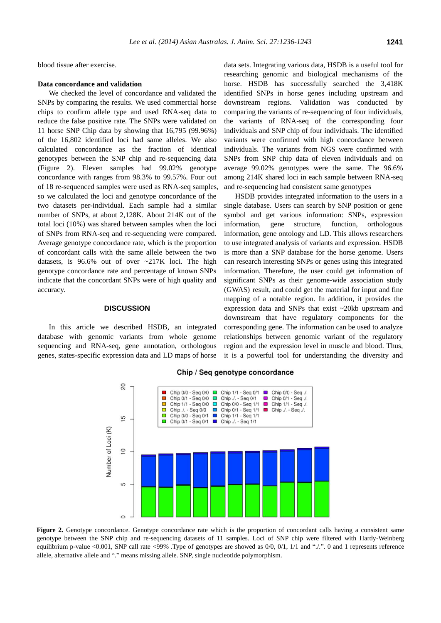blood tissue after exercise.

## **Data concordance and validation**

We checked the level of concordance and validated the SNPs by comparing the results. We used commercial horse chips to confirm allele type and used RNA-seq data to reduce the false positive rate. The SNPs were validated on 11 horse SNP Chip data by showing that 16,795 (99.96%) of the 16,802 identified loci had same alleles. We also calculated concordance as the fraction of identical genotypes between the SNP chip and re-sequencing data (Figure 2). Eleven samples had 99.02% genotype concordance with ranges from 98.3% to 99.57%. Four out of 18 re-sequenced samples were used as RNA-seq samples, so we calculated the loci and genotype concordance of the two datasets per-individual. Each sample had a similar number of SNPs, at about 2,128K. About 214K out of the total loci (10%) was shared between samples when the loci of SNPs from RNA-seq and re-sequencing were compared. Average genotype concordance rate, which is the proportion of concordant calls with the same allele between the two datasets, is 96.6% out of over ~217K loci. The high genotype concordance rate and percentage of known SNPs indicate that the concordant SNPs were of high quality and accuracy.

## **DISCUSSION**

In this article we described HSDB, an integrated database with genomic variants from whole genome sequencing and RNA-seq, gene annotation, orthologous genes, states-specific expression data and LD maps of horse data sets. Integrating various data, HSDB is a useful tool for researching genomic and biological mechanisms of the horse. HSDB has successfully searched the 3,418K identified SNPs in horse genes including upstream and downstream regions. Validation was conducted by comparing the variants of re-sequencing of four individuals, the variants of RNA-seq of the corresponding four individuals and SNP chip of four individuals. The identified variants were confirmed with high concordance between individuals. The variants from NGS were confirmed with SNPs from SNP chip data of eleven individuals and on average 99.02% genotypes were the same. The 96.6% among 214K shared loci in each sample between RNA-seq and re-sequencing had consistent same genotypes

HSDB provides integrated information to the users in a single database. Users can search by SNP position or gene symbol and get various information: SNPs, expression information, gene structure, function, orthologous information, gene ontology and LD. This allows researchers to use integrated analysis of variants and expression. HSDB is more than a SNP database for the horse genome. Users can research interesting SNPs or genes using this integrated information. Therefore, the user could get information of significant SNPs as their genome-wide association study (GWAS) result, and could get the material for input and fine mapping of a notable region. In addition, it provides the expression data and SNPs that exist ~20kb upstream and downstream that have regulatory components for the corresponding gene. The information can be used to analyze relationships between genomic variant of the regulatory region and the expression level in muscle and blood. Thus, it is a powerful tool for understanding the diversity and



#### Chip / Seq genotype concordance

**Figure 2.** Genotype concordance. Genotype concordance rate which is the proportion of concordant calls having a consistent same genotype between the SNP chip and re-sequencing datasets of 11 samples. Loci of SNP chip were filtered with Hardy-Weinberg equilibrium p-value <0.001, SNP call rate <99% .Type of genotypes are showed as 0/0, 0/1, 1/1 and "./.". 0 and 1 represents reference allele, alternative allele and "." means missing allele. SNP, single nucleotide polymorphism.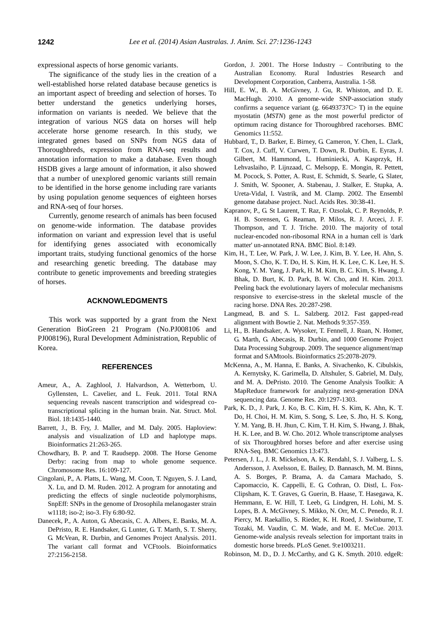expressional aspects of horse genomic variants.

The significance of the study lies in the creation of a well-established horse related database because genetics is an important aspect of breeding and selection of horses. To better understand the genetics underlying horses, information on variants is needed. We believe that the integration of various NGS data on horses will help accelerate horse genome research. In this study, we integrated genes based on SNPs from NGS data of Thoroughbreds, expression from RNA-seq results and annotation information to make a database. Even though HSDB gives a large amount of information, it also showed that a number of unexplored genomic variants still remain to be identified in the horse genome including rare variants by using population genome sequences of eighteen horses and RNA-seq of four horses.

Currently, genome research of animals has been focused on genome-wide information. The database provides information on variant and expression level that is useful for identifying genes associated with economically important traits, studying functional genomics of the horse and researching genetic breeding. The database may contribute to genetic improvements and breeding strategies of horses.

#### **ACKNOWLEDGMENTS**

This work was supported by a grant from the Next Generation BioGreen 21 Program (No.PJ008106 and PJ008196), Rural Development Administration, Republic of Korea.

#### **REFERENCES**

- Ameur, A., A. Zaghlool, J. Halvardson, A. Wetterbom, U. Gyllensten, L. Cavelier, and L. Feuk. 2011. [Total RNA](http://www.ncbi.nlm.nih.gov/pubmed/22056773)  [sequencing reveals nascent transcription and widespread co](http://www.ncbi.nlm.nih.gov/pubmed/22056773)[transcriptional splicing in the human brain.](http://www.ncbi.nlm.nih.gov/pubmed/22056773) Nat. Struct. Mol. Biol. 18:1435-1440.
- Barrett, J., B. Fry, J. Maller, and M. Daly. 2005. [Haploview:](http://bioinformatics.oxfordjournals.org/content/21/2/263.full)  [analysis and visualization of LD and haplotype maps.](http://bioinformatics.oxfordjournals.org/content/21/2/263.full)  Bioinformatics 21:263-265.
- Chowdhary, B. P. and T. Raudsepp. 2008. [The Horse Genome](http://link.springer.com/article/10.1007/s10577-008-1204-z)  [Derby: racing from map to whole genome sequence.](http://link.springer.com/article/10.1007/s10577-008-1204-z)  Chromosome Res. 16:109-127.
- Cingolani, P., A. Platts, L. Wang, M. Coon, T. Nguyen, S. J. Land, X. Lu, and D. M. Ruden. 2012. [A program for annotating and](http://www.ncbi.nlm.nih.gov/pubmed/22728672)  [predicting the effects of single nucleotide polymorphisms,](http://www.ncbi.nlm.nih.gov/pubmed/22728672)  [SnpEff: SNPs in the genome of Drosophila melanogaster strain](http://www.ncbi.nlm.nih.gov/pubmed/22728672)  [w1118; iso-2; iso-3.](http://www.ncbi.nlm.nih.gov/pubmed/22728672) Fly 6:80-92.
- Danecek, P., A. Auton, G. Abecasis, C. A. Albers, E. Banks, M. A. DePristo, R. E. Handsaker, G. Lunter, G. T. Marth, S. T. Sherry, G. McVean, R. Durbin, and Genomes Project Analysis. 2011. [The variant call format and](http://bioinformatics.oxfordjournals.org/content/27/15/2156) VCFtools. Bioinformatics 27:2156-2158.
- Gordon, J. 2001. [The Horse Industry](http://www.horsecouncil.org.au/ahic/index.cfm/topics/surveys/the-horse-industry-contributing-to-the-australian-economy/) Contributing to the [Australian Economy.](http://www.horsecouncil.org.au/ahic/index.cfm/topics/surveys/the-horse-industry-contributing-to-the-australian-economy/) Rural Industries Research and Development Corporation, Canberra, Australia. 1-58.
- Hill, E. W., B. A. McGivney, J. Gu, R. Whiston, and D. E. MacHugh. 2010. [A genome-wide SNP-association study](http://www.biomedcentral.com/1471-2164/11/552/)  confirms a sequence variant (g.  $66493737C > T$ ) in the equine myostatin (*MSTN*[\) gene as the most powerful predictor of](http://www.biomedcentral.com/1471-2164/11/552/)  [optimum racing distance for Thoroughbred racehorses.](http://www.biomedcentral.com/1471-2164/11/552/) BMC Genomics 11:552.
- Hubbard, T., D. Barker, E. Birney, G. Cameron, Y. Chen, L. Clark, T. Cox, J. Cuff, V. Curwen, T. Down, R. Durbin, E. Eyras, J. Gilbert, M. Hammond, L. Huminiecki, A. Kasprzyk, H. Lehvaslaiho, P. Lijnzaad, C. Melsopp, E. Mongin, R. Pettett, M. Pocock, S. Potter, A. Rust, E. Schmidt, S. Searle, G. Slater, J. Smith, W. Spooner, A. Stabenau, J. Stalker, E. Stupka, A. Ureta-Vidal, I. Vastrik, and M. Clamp. 2002. [The Ensembl](http://nar.oxfordjournals.org/content/30/1/38.full)  [genome database project.](http://nar.oxfordjournals.org/content/30/1/38.full) Nucl. Acids Res. 30:38-41.
- Kapranov, P., G. St Laurent, T. Raz, F. Ozsolak, C. P. Reynolds, P. H. B. Sorensen, G. Reaman, P. Milos, R. J. Arceci, J. F. Thompson, and T. J. Triche. 2010. [The majority of total](http://www.biomedcentral.com/1741-7007/8/149)  [nuclear-encoded non-ribosomal RNA in a human cell is 'dark](http://www.biomedcentral.com/1741-7007/8/149)  [matter' un-annotated RNA.](http://www.biomedcentral.com/1741-7007/8/149) BMC Biol. 8:149.
- Kim, H., T. Lee, W. Park, J. W. Lee, J. Kim, B. Y. Lee, H. Ahn, S. Moon, S. Cho, K. T. Do, H. S. Kim, H. K. Lee, C. K. Lee, H. S. Kong, Y. M. Yang, J. Park, H. M. Kim, B. C. Kim, S. Hwang, J. Bhak, D. Burt, K. D. Park, B. W. Cho, and H. Kim. 2013. [Peeling back the evolutionary layers of molecular mechanisms](http://www.ncbi.nlm.nih.gov/pubmed/23580538)  [responsive to exercise-stress in the skeletal muscle of the](http://www.ncbi.nlm.nih.gov/pubmed/23580538)  [racing horse.](http://www.ncbi.nlm.nih.gov/pubmed/23580538) DNA Res. 20:287-298.
- Langmead, B. and S. L. Salzberg. 2012. [Fast gapped-read](http://www.nature.com/nmeth/journal/v9/n4/full/nmeth.1923.html)  [alignment with Bowtie 2.](http://www.nature.com/nmeth/journal/v9/n4/full/nmeth.1923.html) Nat. Methods 9:357-359.
- Li, H., B. Handsaker, A. Wysoker, T. Fennell, J. Ruan, N. Homer, G. Marth, G. Abecasis, R. Durbin, and 1000 Genome Project Data Processing Subgroup. 2009. [The sequence alignment/map](http://bioinformatics.oxfordjournals.org/content/25/16/2078.long)  [format and SAMtools.](http://bioinformatics.oxfordjournals.org/content/25/16/2078.long) Bioinformatics 25:2078-2079.
- McKenna, A., M. Hanna, E. Banks, A. Sivachenko, K. Cibulskis, A. Kernytsky, K. Garimella, D. Altshuler, S. Gabriel, M. Daly, and M. A. DePristo. 2010. [The Genome Analysis Toolkit: A](http://genome.cshlp.org/content/20/9/1297.abstract) [MapReduce framework for analyzing next-generation DNA](http://genome.cshlp.org/content/20/9/1297.abstract)  [sequencing data.](http://genome.cshlp.org/content/20/9/1297.abstract) Genome Res. 20:1297-1303.
- Park, K. D., J. Park, J. Ko, B. C. Kim, H. S. Kim, K. Ahn, K. T. Do, H. Choi, H. M. Kim, S. Song, S. Lee, S. Jho, H. S. Kong, Y. M. Yang, B. H. Jhun, C. Kim, T. H. Kim, S. Hwang, J. Bhak, H. K. Lee, and B. W. Cho. 2012. [Whole transcriptome analyses](http://www.biomedcentral.com/1471-2164/13/473)  [of six Thoroughbred horses before and after exercise using](http://www.biomedcentral.com/1471-2164/13/473)  [RNA-Seq.](http://www.biomedcentral.com/1471-2164/13/473) BMC Genomics 13:473.
- Petersen, J. L., J. R. Mickelson, A. K. Rendahl, S. J. Valberg, L. S. Andersson, J. Axelsson, E. Bailey, D. Bannasch, M. M. Binns, A. S. Borges, P. Brama, A. da Camara Machado, S. Capomaccio, K. Cappelli, E. G. Cothran, O. Distl, L. Fox-Clipsham, K. T. Graves, G. Guerin, B. Haase, T. Hasegawa, K. Hemmann, E. W. Hill, T. Leeb, G. Lindgren, H. Lohi, M. S. Lopes, B. A. McGivney, S. Mikko, N. Orr, M. C. Penedo, R. J. Piercy, M. Raekallio, S. Rieder, K. H. Roed, J. Swinburne, T. Tozaki, M. Vaudin, C. M. Wade, and M. E. McCue. 2013. [Genome-wide analysis reveals selection for important traits in](http://www.plosgenetics.org/article/citationList.action?articleURI=info%3Adoi%2F10.1371%2Fjournal.pgen.1003211)  [domestic horse breeds.](http://www.plosgenetics.org/article/citationList.action?articleURI=info%3Adoi%2F10.1371%2Fjournal.pgen.1003211) PLoS Genet. 9:e1003211.

Robinson, M. D., D. J. McCarthy, and G. K. Smyth. 2010. [edgeR:](http://bioinformatics.oxfordjournals.org/content/26/1/139)